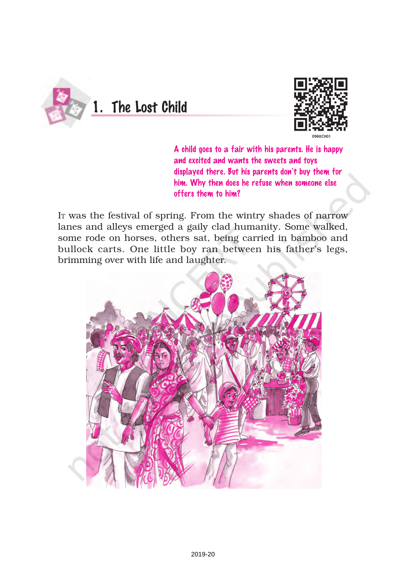



A child goes to a fair with his parents. He is happy and excited and wants the sweets and toys displayed there. But his parents don't buy them for him. Why then does he refuse when someone else offers them to him?

IT was the festival of spring. From the wintry shades of narrow lanes and alleys emerged a gaily clad humanity. Some walked, some rode on horses, others sat, being carried in bamboo and bullock carts. One little boy ran between his father's legs, brimming over with life and laughter.

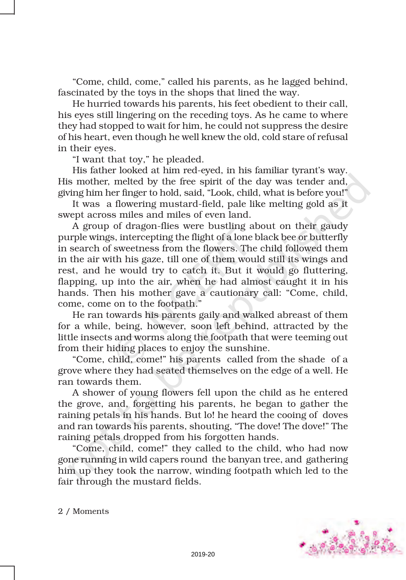"Come, child, come," called his parents, as he lagged behind, fascinated by the toys in the shops that lined the way.

He hurried towards his parents, his feet obedient to their call, his eyes still lingering on the receding toys. As he came to where they had stopped to wait for him, he could not suppress the desire of his heart, even though he well knew the old, cold stare of refusal in their eyes.

"I want that toy," he pleaded.

His father looked at him red-eyed, in his familiar tyrant's way. His mother, melted by the free spirit of the day was tender and, giving him her finger to hold, said, "Look, child, what is before you!"

It was a flowering mustard-field, pale like melting gold as it swept across miles and miles of even land.

A group of dragon-flies were bustling about on their gaudy purple wings, intercepting the flight of a lone black bee or butterfly in search of sweetness from the flowers. The child followed them in the air with his gaze, till one of them would still its wings and rest, and he would try to catch it. But it would go fluttering, flapping, up into the air, when he had almost caught it in his hands. Then his mother gave a cautionary call: "Come, child, come, come on to the footpath."

He ran towards his parents gaily and walked abreast of them for a while, being, however, soon left behind, attracted by the little insects and worms along the footpath that were teeming out from their hiding places to enjoy the sunshine.

"Come, child, come!" his parents called from the shade of a grove where they had seated themselves on the edge of a well. He ran towards them.

A shower of young flowers fell upon the child as he entered the grove, and, forgetting his parents, he began to gather the raining petals in his hands. But lo! he heard the cooing of doves and ran towards his parents, shouting, "The dove! The dove!" The raining petals dropped from his forgotten hands.

"Come, child, come!" they called to the child, who had now gone running in wild capers round the banyan tree, and gathering him up they took the narrow, winding footpath which led to the fair through the mustard fields.



2 / Moments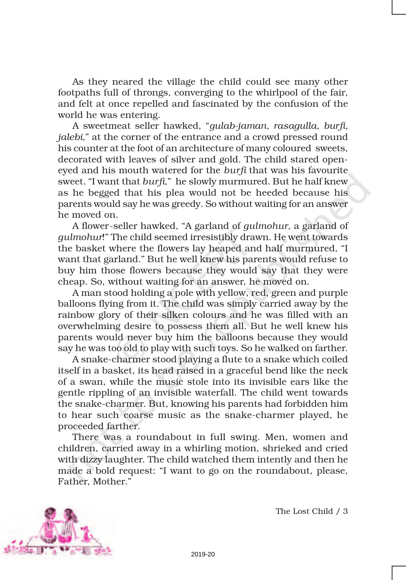As they neared the village the child could see many other footpaths full of throngs, converging to the whirlpool of the fair, and felt at once repelled and fascinated by the confusion of the world he was entering.

A sweetmeat seller hawked, "*gulab-jaman, rasagulla, burfi, jalebi*," at the corner of the entrance and a crowd pressed round his counter at the foot of an architecture of many coloured sweets, decorated with leaves of silver and gold. The child stared openeyed and his mouth watered for the *burfi* that was his favourite sweet. "I want that *burfi*," he slowly murmured. But he half knew as he begged that his plea would not be heeded because his parents would say he was greedy. So without waiting for an answer he moved on.

A flower-seller hawked, "A garland of *gulmohur*, a garland of *gulmohur*!" The child seemed irresistibly drawn. He went towards the basket where the flowers lay heaped and half murmured, "I want that garland." But he well knew his parents would refuse to buy him those flowers because they would say that they were cheap. So, without waiting for an answer, he moved on.

A man stood holding a pole with yellow, red, green and purple balloons flying from it. The child was simply carried away by the rainbow glory of their silken colours and he was filled with an overwhelming desire to possess them all. But he well knew his parents would never buy him the balloons because they would say he was too old to play with such toys. So he walked on farther.

A snake-charmer stood playing a flute to a snake which coiled itself in a basket, its head raised in a graceful bend like the neck of a swan, while the music stole into its invisible ears like the gentle rippling of an invisible waterfall. The child went towards the snake-charmer. But, knowing his parents had forbidden him to hear such coarse music as the snake-charmer played, he proceeded farther.

There was a roundabout in full swing. Men, women and children, carried away in a whirling motion, shrieked and cried with dizzy laughter. The child watched them intently and then he made a bold request: "I want to go on the roundabout, please, Father, Mother."



The Lost Child / 3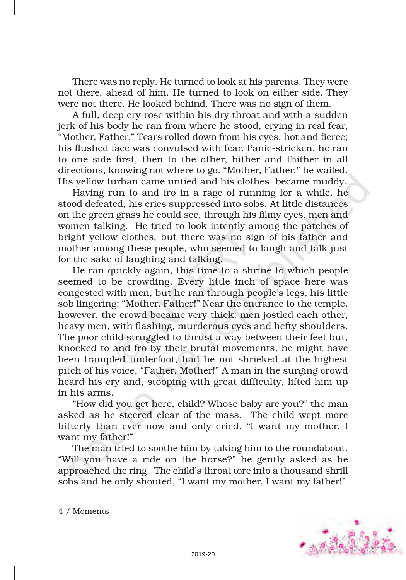There was no reply. He turned to look at his parents. They were not there, ahead of him. He turned to look on either side. They were not there. He looked behind. There was no sign of them.

A full, deep cry rose within his dry throat and with a sudden jerk of his body he ran from where he stood, crying in real fear, "Mother, Father." Tears rolled down from his eyes, hot and fierce; his flushed face was convulsed with fear. Panic-stricken, he ran to one side first, then to the other, hither and thither in all directions, knowing not where to go. "Mother, Father," he wailed. His yellow turban came untied and his clothes became muddy.

Having run to and fro in a rage of running for a while, he stood defeated, his cries suppressed into sobs. At little distances on the green grass he could see, through his filmy eyes, men and women talking. He tried to look intently among the patches of bright yellow clothes, but there was no sign of his father and mother among these people, who seemed to laugh and talk just for the sake of laughing and talking.

He ran quickly again, this time to a shrine to which people seemed to be crowding. Every little inch of space here was congested with men, but he ran through people's legs, his little sob lingering: "Mother, Father!" Near the entrance to the temple, however, the crowd became very thick: men jostled each other, heavy men, with flashing, murderous eyes and hefty shoulders. The poor child struggled to thrust a way between their feet but, knocked to and fro by their brutal movements, he might have been trampled underfoot, had he not shrieked at the highest pitch of his voice, "Father, Mother!" A man in the surging crowd heard his cry and, stooping with great difficulty, lifted him up in his arms.

"How did you get here, child? Whose baby are you?" the man asked as he steered clear of the mass. The child wept more bitterly than ever now and only cried, "I want my mother, I want my father!"

The man tried to soothe him by taking him to the roundabout. "Will you have a ride on the horse?" he gently asked as he approached the ring. The child's throat tore into a thousand shrill sobs and he only shouted, "I want my mother, I want my father!"



4 / Moments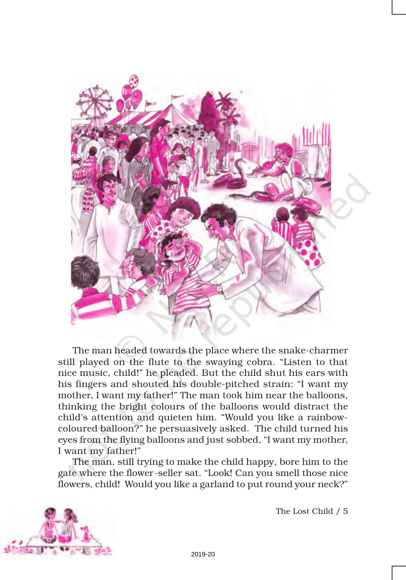

The man headed towards the place where the snake-charmer still played on the flute to the swaying cobra. "Listen to that nice music, child!" he pleaded. But the child shut his ears with his fingers and shouted his double-pitched strain: "I want my mother, I want my father!" The man took him near the balloons, thinking the bright colours of the balloons would distract the child's attention and quieten him. "Would you like a rainbowcoloured balloon?" he persuasively asked. The child turned his eyes from the flying balloons and just sobbed, "I want my mother, I want my father!"

The man, still trying to make the child happy, bore him to the gate where the flower-seller sat. "Look! Can you smell those nice flowers, child! Would you like a garland to put round your neck?"



The Lost Child / 5